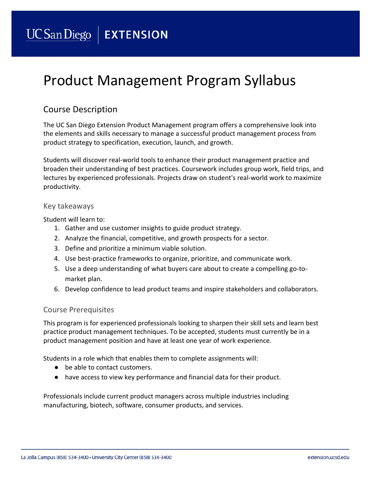# Product Management Program Syllabus

# Course Description

The UC San Diego Extension Product Management program offers a comprehensive look into the elements and skills necessary to manage a successful product management process from product strategy to specification, execution, launch, and growth.

Students will discover real-world tools to enhance their product management practice and broaden their understanding of best practices. Coursework includes group work, field trips, and lectures by experienced professionals. Projects draw on student's real-world work to maximize productivity.

#### Key takeaways

Student will learn to:

- 1. Gather and use customer insights to guide product strategy.
- 2. Analyze the financial, competitive, and growth prospects for a sector.
- 3. Define and prioritize a minimum viable solution.
- 4. Use best-practice frameworks to organize, prioritize, and communicate work.
- 5. Use a deep understanding of what buyers care about to create a compelling go-tomarket plan.
- 6. Develop confidence to lead product teams and inspire stakeholders and collaborators.

#### Course Prerequisites

This program is for experienced professionals looking to sharpen their skill sets and learn best practice product management techniques. To be accepted, students must currently be in a product management position and have at least one year of work experience.

Students in a role which that enables them to complete assignments will:

- be able to contact customers.
- have access to view key performance and financial data for their product.

Professionals include current product managers across multiple industries including manufacturing, biotech, software, consumer products, and services.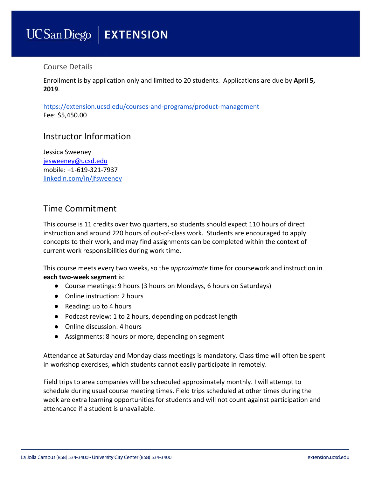# **UCSanDiego | EXTENSION**

## Course Details

Enrollment is by application only and limited to 20 students. Applications are due by **April 5, 2019**.

<https://extension.ucsd.edu/courses-and-programs/product-management> Fee: \$5,450.00

# Instructor Information

Jessica Sweeney [jesweeney@ucsd.edu](mailto:jesweeney@ucsd.edu) mobile: +1-619-321-7937 [linkedin.com/in/jfsweeney](https://www.linkedin.com/in/jfsweeney)

# Time Commitment

This course is 11 credits over two quarters, so students should expect 110 hours of direct instruction and around 220 hours of out-of-class work. Students are encouraged to apply concepts to their work, and may find assignments can be completed within the context of current work responsibilities during work time.

This course meets every two weeks, so the *approximate* time for coursework and instruction in **each two-week segment** is:

- Course meetings: 9 hours (3 hours on Mondays, 6 hours on Saturdays)
- Online instruction: 2 hours
- Reading: up to 4 hours
- Podcast review: 1 to 2 hours, depending on podcast length
- Online discussion: 4 hours
- Assignments: 8 hours or more, depending on segment

Attendance at Saturday and Monday class meetings is mandatory. Class time will often be spent in workshop exercises, which students cannot easily participate in remotely.

Field trips to area companies will be scheduled approximately monthly. I will attempt to schedule during usual course meeting times. Field trips scheduled at other times during the week are extra learning opportunities for students and will not count against participation and attendance if a student is unavailable.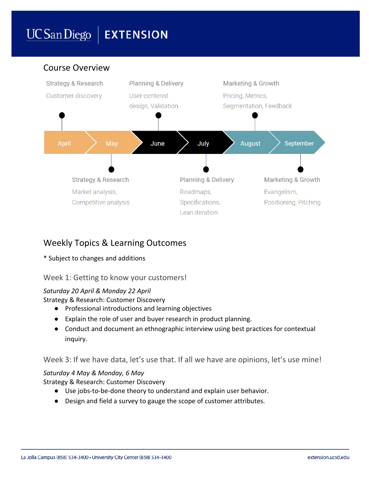# **UCSanDiego | EXTENSION**

#### Course Overview **Strategy & Research Planning & Delivery Marketing & Growth** Customer discovery User-centered Pricing, Metrics, design, Validation Segmentation, Feedback May June July **August** September **April Planning & Delivery Strategy & Research Marketing & Growth** Market analysis, Roadmaps, Evangelism, Competitive analysis Specifications, Positioning, Pitching Lean iteration

# Weekly Topics & Learning Outcomes

## \* Subject to changes and additions

# Week 1: Getting to know your customers!

## *Saturday 20 April & Monday 22 April*

Strategy & Research: Customer Discovery

- Professional introductions and learning objectives
- Explain the role of user and buyer research in product planning.
- Conduct and document an ethnographic interview using best practices for contextual inquiry.

Week 3: If we have data, let's use that. If all we have are opinions, let's use mine!

## *Saturday 4 May & Monday, 6 May*

Strategy & Research: Customer Discovery

- Use jobs-to-be-done theory to understand and explain user behavior.
- Design and field a survey to gauge the scope of customer attributes.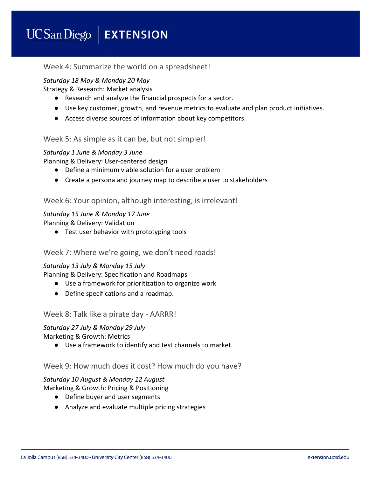#### UCSan Diego **EXTENSION**

## Week 4: Summarize the world on a spreadsheet!

### *Saturday 18 May & Monday 20 May*

Strategy & Research: Market analysis

- Research and analyze the financial prospects for a sector.
- Use key customer, growth, and revenue metrics to evaluate and plan product initiatives.
- Access diverse sources of information about key competitors.

## Week 5: As simple as it can be, but not simpler!

#### *Saturday 1 June & Monday 3 June*

Planning & Delivery: User-centered design

- Define a minimum viable solution for a user problem
- Create a persona and journey map to describe a user to stakeholders

#### Week 6: Your opinion, although interesting, is irrelevant!

#### *Saturday 15 June & Monday 17 June*

Planning & Delivery: Validation

● Test user behavior with prototyping tools

#### Week 7: Where we're going, we don't need roads!

#### *Saturday 13 July & Monday 15 July*

Planning & Delivery: Specification and Roadmaps

- Use a framework for prioritization to organize work
- Define specifications and a roadmap.

#### Week 8: Talk like a pirate day - AARRR!

#### *Saturday 27 July & Monday 29 July* Marketing & Growth: Metrics

● Use a framework to identify and test channels to market.

#### Week 9: How much does it cost? How much do you have?

# *Saturday 10 August & Monday 12 August*

Marketing & Growth: Pricing & Positioning

- Define buyer and user segments
- Analyze and evaluate multiple pricing strategies